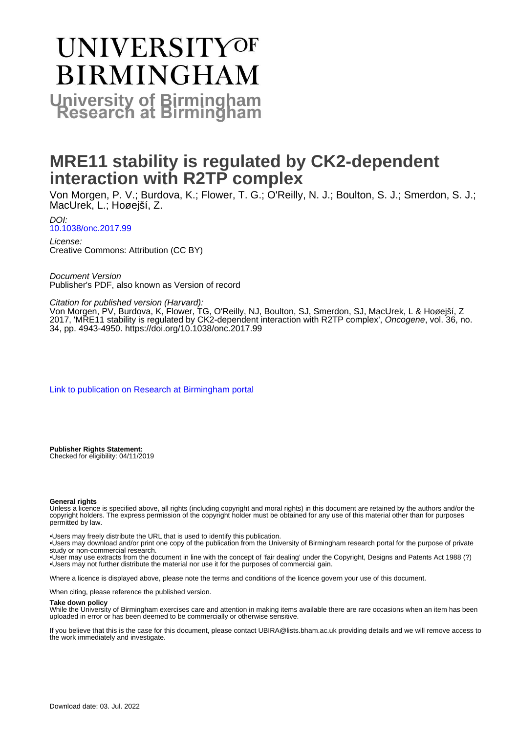# **UNIVERSITYOF BIRMINGHAM University of Birmingham**

# **MRE11 stability is regulated by CK2-dependent interaction with R2TP complex**

Von Morgen, P. V.; Burdova, K.; Flower, T. G.; O'Reilly, N. J.; Boulton, S. J.; Smerdon, S. J.; MacUrek, L.; Hoøejší, Z.

DOI: [10.1038/onc.2017.99](https://doi.org/10.1038/onc.2017.99)

License: Creative Commons: Attribution (CC BY)

Document Version Publisher's PDF, also known as Version of record

Citation for published version (Harvard):

Von Morgen, PV, Burdova, K, Flower, TG, O'Reilly, NJ, Boulton, SJ, Smerdon, SJ, MacUrek, L & Hoøejší, Z 2017, 'MRE11 stability is regulated by CK2-dependent interaction with R2TP complex', Oncogene, vol. 36, no. 34, pp. 4943-4950. <https://doi.org/10.1038/onc.2017.99>

[Link to publication on Research at Birmingham portal](https://birmingham.elsevierpure.com/en/publications/a4dc2e12-2b8f-4574-bad7-400534ba3ec1)

**Publisher Rights Statement:** Checked for eligibility: 04/11/2019

# **General rights**

Unless a licence is specified above, all rights (including copyright and moral rights) in this document are retained by the authors and/or the copyright holders. The express permission of the copyright holder must be obtained for any use of this material other than for purposes permitted by law.

• Users may freely distribute the URL that is used to identify this publication.

• Users may download and/or print one copy of the publication from the University of Birmingham research portal for the purpose of private study or non-commercial research.

• User may use extracts from the document in line with the concept of 'fair dealing' under the Copyright, Designs and Patents Act 1988 (?) • Users may not further distribute the material nor use it for the purposes of commercial gain.

Where a licence is displayed above, please note the terms and conditions of the licence govern your use of this document.

When citing, please reference the published version.

# **Take down policy**

While the University of Birmingham exercises care and attention in making items available there are rare occasions when an item has been uploaded in error or has been deemed to be commercially or otherwise sensitive.

If you believe that this is the case for this document, please contact UBIRA@lists.bham.ac.uk providing details and we will remove access to the work immediately and investigate.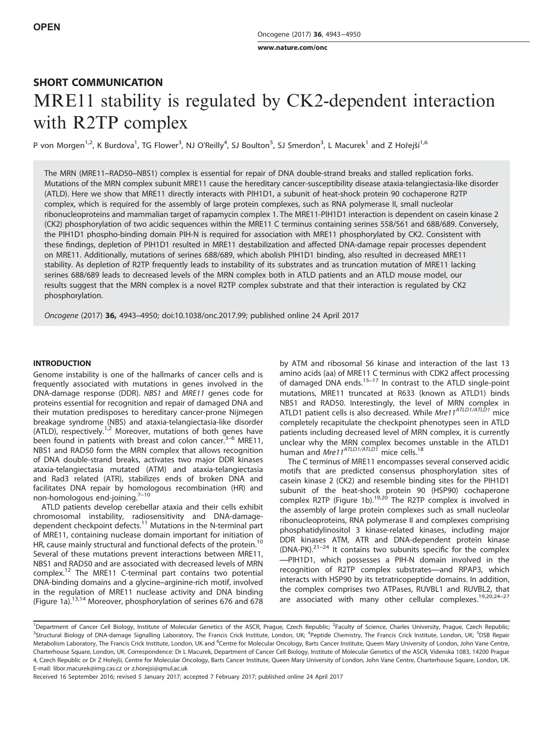[www.nature.com/onc](http://www.nature.com/onc)

# SHORT COMMUNICATION MRE11 stability is regulated by CK2-dependent interaction with R2TP complex

P von Morgen<sup>1,2</sup>, K Burdova<sup>1</sup>, TG Flower<sup>3</sup>, NJ O'Reilly<sup>4</sup>, SJ Boulton<sup>5</sup>, SJ Smerdon<sup>3</sup>, L Macurek<sup>1</sup> and Z Hořejší<sup>1,6</sup>

The MRN (MRE11–RAD50–NBS1) complex is essential for repair of DNA double-strand breaks and stalled replication forks. Mutations of the MRN complex subunit MRE11 cause the hereditary cancer-susceptibility disease ataxia-telangiectasia-like disorder (ATLD). Here we show that MRE11 directly interacts with PIH1D1, a subunit of heat-shock protein 90 cochaperone R2TP complex, which is required for the assembly of large protein complexes, such as RNA polymerase II, small nucleolar ribonucleoproteins and mammalian target of rapamycin complex 1. The MRE11-PIH1D1 interaction is dependent on casein kinase 2 (CK2) phosphorylation of two acidic sequences within the MRE11 C terminus containing serines 558/561 and 688/689. Conversely, the PIH1D1 phospho-binding domain PIH-N is required for association with MRE11 phosphorylated by CK2. Consistent with these findings, depletion of PIH1D1 resulted in MRE11 destabilization and affected DNA-damage repair processes dependent on MRE11. Additionally, mutations of serines 688/689, which abolish PIH1D1 binding, also resulted in decreased MRE11 stability. As depletion of R2TP frequently leads to instability of its substrates and as truncation mutation of MRE11 lacking serines 688/689 leads to decreased levels of the MRN complex both in ATLD patients and an ATLD mouse model, our results suggest that the MRN complex is a novel R2TP complex substrate and that their interaction is regulated by CK2 phosphorylation.

Oncogene (2017) 36, 4943–4950; doi[:10.1038/onc.2017.99](http://dx.doi.org/10.1038/onc.2017.99); published online 24 April 2017

# **INTRODUCTION**

Genome instability is one of the hallmarks of cancer cells and is frequently associated with mutations in genes involved in the DNA-damage response (DDR). NBS1 and MRE11 genes code for proteins essential for recognition and repair of damaged DNA and their mutation predisposes to hereditary cancer-prone Nijmegen breakage syndrome (NBS) and ataxia-telangiectasia-like disorder (ATLD), respectively.<sup>[1,2](#page-8-0)</sup> Moreover, mutations of both [gen](#page-8-0)es have been found in patients with breast and colon cancer. $3-6$  MRE11, NBS1 and RAD50 form the MRN complex that allows recognition of DNA double-strand breaks, activates two major DDR kinases ataxia-telangiectasia mutated (ATM) and ataxia-telangiectasia and Rad3 related (ATR), stabilizes ends of broken DNA and facilitates DNA repair by homologous recombination (HR) and non-homologous end-joining.7–[10](#page-8-0)

ATLD patients develop cerebellar ataxia and their cells exhibit chromosomal instability, radiosensitivity and DNA-damagedependent checkpoint defects.[11](#page-8-0) Mutations in the N-terminal part of MRE11, containing nuclease domain important for initiation of HR, cause mainly structural and functional defects of the protein.<sup>[10](#page-8-0)</sup> Several of these mutations prevent interactions between MRE11, NBS1 and RAD50 and are associated with decreased levels of MRN complex.[12](#page-8-0) The MRE11 C-terminal part contains two potential DNA-binding domains and a glycine–arginine-rich motif, involved in the regulation of MRE11 nuclease activity and DNA binding [\(Figure 1a](#page-3-0))[.13](#page-8-0),[14](#page-8-0) Moreover, phosphorylation of serines 676 and 678 by ATM and ribosomal S6 kinase and interaction of the last 13 amino acids (aa) of MRE11 C terminus with CDK2 affect processing of damaged DNA ends.15–[17](#page-8-0) In contrast to the ATLD single-point mutations, MRE11 truncated at R633 (known as ATLD1) binds NBS1 and RAD50. Interestingly, the level of MRN complex in ATLD1 patient cells is also decreased. While Mre11<sup>ATLD1/ATLD1</sup> mice completely recapitulate the checkpoint phenotypes seen in ATLD patients including decreased level of MRN complex, it is currently unclear why the MRN complex becomes unstable in the ATLD1 human and *Mre11<sup>ATLD1/ATLD1* mice cells.<sup>[18](#page-8-0)</sup></sup>

The C terminus of MRE11 encompasses several conserved acidic motifs that are predicted consensus phosphorylation sites of casein kinase 2 (CK2) and resemble binding sites for the PIH1D1 subunit of the heat-shock protein 90 (HSP90) cochaperone complex R2TP [\(Figure 1b](#page-3-0)).<sup>[19](#page-8-0),[20](#page-8-0)</sup> The R2TP complex is involved in the assembly of large protein complexes such as small nucleolar ribonucleoproteins, RNA polymerase II and complexes comprising phosphatidylinositol 3 kinase-related kinases, including major DDR kinases ATM, ATR and DNA-dependent protein kinase  $(DNA-PK).^{21-24}$  It contains two subunits specific for the complex —PIH1D1, which possesses a PIH-N domain involved in the recognition of R2TP complex substrates—and RPAP3, which interacts with HSP90 by its tetratricopeptide domains. In addition, the complex comprises two ATPases, RUVBL1 and RUVBL2, that are associated with many other cellular complexes.<sup>[19](#page-8-0),[20](#page-8-0),24-[27](#page-8-0)</sup>

<sup>&</sup>lt;sup>1</sup>Department of Cancer Cell Biology, Institute of Molecular Genetics of the ASCR, Prague, Czech Republic; <sup>2</sup>Faculty of Science, Charles University, Prague, Czech Republic; <sup>3</sup>Structural Biology of DNA-damage Signalling Laboratory, The Francis Crick Institute, London, UK; <sup>4</sup>Peptide Chemistry, The Francis Crick Institute, London, UK; <sup>5</sup>DSB Repair Metabolism Laboratory, The Francis Crick Institute, London, UK and <sup>6</sup>Centre for Molecular Oncology, Barts Cancer Institute, Queen Mary University of London, John Vane Centre, Charterhouse Square, London, UK. Correspondence: Dr L Macurek, Department of Cancer Cell Biology, Institute of Molecular Genetics of the ASCR, Videnska 1083, 14200 Prague 4, Czech Republic or Dr Z Hořejší, Centre for Molecular Oncology, Barts Cancer Institute, Queen Mary University of London, John Vane Centre, Charterhouse Square, London, UK. E-mail: [libor.macurek@img.cas.cz](mailto:libor.macurek@img.cas.cz) or [z.horejsi@qmul.ac.uk](mailto:z.horejsi@qmul.ac.uk)

Received 16 September 2016; revised 5 January 2017; accepted 7 February 2017; published online 24 April 2017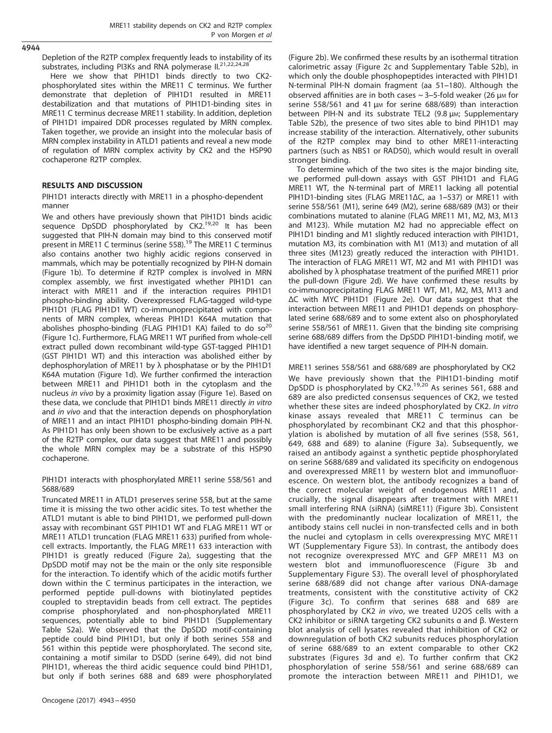4944

Depletion of the R2TP complex frequently leads to instability of its substrates, including PI3Ks and RNA polymerase II.<sup>[21](#page-8-0),[22](#page-8-0),[24,28](#page-8-0)</sup>

Here we show that PIH1D1 binds directly to two CK2 phosphorylated sites within the MRE11 C terminus. We further demonstrate that depletion of PIH1D1 resulted in MRE11 destabilization and that mutations of PIH1D1-binding sites in MRE11 C terminus decrease MRE11 stability. In addition, depletion of PIH1D1 impaired DDR processes regulated by MRN complex. Taken together, we provide an insight into the molecular basis of MRN complex instability in ATLD1 patients and reveal a new mode of regulation of MRN complex activity by CK2 and the HSP90 cochaperone R2TP complex.

# RESULTS AND DISCUSSION

PIH1D1 interacts directly with MRE11 in a phospho-dependent manner

We and others have previously shown that PIH1D1 binds acidic sequence DpSDD phosphorylated by CK2.<sup>[19,20](#page-8-0)</sup> It has been suggested that PIH-N domain may bind to this conserved motif present in MRE11 C terminus (serine 558).<sup>[19](#page-8-0)</sup> The MRE11 C terminus also contains another two highly acidic regions conserved in mammals, which may be potentially recognized by PIH-N domain ([Figure 1b](#page-3-0)). To determine if R2TP complex is involved in MRN complex assembly, we first investigated whether PIH1D1 can interact with MRE11 and if the interaction requires PIH1D1 phospho-binding ability. Overexpressed FLAG-tagged wild-type PIH1D1 (FLAG PIH1D1 WT) co-immunoprecipitated with components of MRN complex, whereas PIH1D1 K64A mutation that abolishes phospho-binding (FLAG PIH1D1 KA) failed to do so $^{20}$  $^{20}$  $^{20}$ ([Figure 1c](#page-3-0)). Furthermore, FLAG MRE11 WT purified from whole-cell extract pulled down recombinant wild-type GST-tagged PIH1D1 (GST PIH1D1 WT) and this interaction was abolished either by dephosphorylation of MRE11 by λ phosphatase or by the PIH1D1 K64A mutation ([Figure 1d](#page-3-0)). We further confirmed the interaction between MRE11 and PIH1D1 both in the cytoplasm and the nucleus in vivo by a proximity ligation assay [\(Figure 1e\)](#page-3-0). Based on these data, we conclude that PIH1D1 binds MRE11 directly in vitro and in vivo and that the interaction depends on phosphorylation of MRE11 and an intact PIH1D1 phospho-binding domain PIH-N. As PIH1D1 has only been shown to be exclusively active as a part of the R2TP complex, our data suggest that MRE11 and possibly the whole MRN complex may be a substrate of this HSP90 cochaperone.

PIH1D1 interacts with phosphorylated MRE11 serine 558/561 and S688/689

Truncated MRE11 in ATLD1 preserves serine 558, but at the same time it is missing the two other acidic sites. To test whether the ATLD1 mutant is able to bind PIH1D1, we performed pull-down assay with recombinant GST PIH1D1 WT and FLAG MRE11 WT or MRE11 ATLD1 truncation (FLAG MRE11 633) purified from wholecell extracts. Importantly, the FLAG MRE11 633 interaction with PIH1D1 is greatly reduced ([Figure 2a\)](#page-4-0), suggesting that the DpSDD motif may not be the main or the only site responsible for the interaction. To identify which of the acidic motifs further down within the C terminus participates in the interaction, we performed peptide pull-downs with biotinylated peptides coupled to streptavidin beads from cell extract. The peptides comprise phosphorylated and non-phosphorylated MRE11 sequences, potentially able to bind PIH1D1 (Supplementary Table S2a). We observed that the DpSDD motif-containing peptide could bind PIH1D1, but only if both serines 558 and 561 within this peptide were phosphorylated. The second site, containing a motif similar to DSDD (serine 649), did not bind PIH1D1, whereas the third acidic sequence could bind PIH1D1, but only if both serines 688 and 689 were phosphorylated

([Figure 2b](#page-4-0)). We confirmed these results by an isothermal titration calorimetric assay [\(Figure 2c](#page-4-0) and Supplementary Table S2b), in which only the double phosphopeptides interacted with PIH1D1 N-terminal PIH-N domain fragment (aa 51–180). Although the observed affinities are in both cases  $\sim$  3-5-fold weaker (26 μm for serine 558/561 and 41 μm for serine 688/689) than interaction between PIH-N and its substrate TEL2 (9.8 μm; Supplementary Table S2b), the presence of two sites able to bind PIH1D1 may increase stability of the interaction. Alternatively, other subunits of the R2TP complex may bind to other MRE11-interacting partners (such as NBS1 or RAD50), which would result in overall stronger binding.

To determine which of the two sites is the major binding site, we performed pull-down assays with GST PIH1D1 and FLAG MRE11 WT, the N-terminal part of MRE11 lacking all potential PIH1D1-binding sites (FLAG MRE11ΔC, aa 1–537) or MRE11 with serine 558/561 (M1), serine 649 (M2), serine 688/689 (M3) or their combinations mutated to alanine (FLAG MRE11 M1, M2, M3, M13 and M123). While mutation M2 had no appreciable effect on PIH1D1 binding and M1 slightly reduced interaction with PIH1D1, mutation M3, its combination with M1 (M13) and mutation of all three sites (M123) greatly reduced the interaction with PIH1D1. The interaction of FLAG MRE11 WT, M2 and M1 with PIH1D1 was abolished by λ phosphatase treatment of the purified MRE11 prior the pull-down [\(Figure 2d](#page-4-0)). We have confirmed these results by co-immunoprecipitating FLAG MRE11 WT, M1, M2, M3, M13 and ΔC with MYC PIH1D1 ([Figure 2e](#page-4-0)). Our data suggest that the interaction between MRE11 and PIH1D1 depends on phosphorylated serine 688/689 and to some extent also on phosphorylated serine 558/561 of MRE11. Given that the binding site comprising serine 688/689 differs from the DpSDD PIH1D1-binding motif, we have identified a new target sequence of PIH-N domain.

MRE11 serines 558/561 and 688/689 are phosphorylated by CK2 We have previously shown that the PIH1D1-binding motif DpSDD is phosphorylated by CK2.[19](#page-8-0),[20](#page-8-0) As serines 561, 688 and 689 are also predicted consensus sequences of CK2, we tested whether these sites are indeed phosphorylated by CK2. In vitro kinase assays revealed that MRE11 C terminus can be phosphorylated by recombinant CK2 and that this phosphorylation is abolished by mutation of all five serines (558, 561, 649, 688 and 689) to alanine ([Figure 3a](#page-5-0)). Subsequently, we raised an antibody against a synthetic peptide phosphorylated on serine S688/689 and validated its specificity on endogenous and overexpressed MRE11 by western blot and immunofluorescence. On western blot, the antibody recognizes a band of the correct molecular weight of endogenous MRE11 and, crucially, the signal disappears after treatment with MRE11 small interfering RNA (siRNA) (siMRE11) ([Figure 3b\)](#page-5-0). Consistent with the predominantly nuclear localization of MRE11, the antibody stains cell nuclei in non-transfected cells and in both the nuclei and cytoplasm in cells overexpressing MYC MRE11 WT (Supplementary Figure S3). In contrast, the antibody does not recognize overexpressed MYC and GFP MRE11 M3 on western blot and immunofluorescence ([Figure 3b](#page-5-0) and Supplementary Figure S3). The overall level of phosphorylated serine 688/689 did not change after various DNA-damage treatments, consistent with the constitutive activity of CK2 ([Figure 3c](#page-5-0)). To confirm that serines 688 and 689 are phosphorylated by CK2 in vivo, we treated U2OS cells with a CK2 inhibitor or siRNA targeting CK2 subunits α and β. Western blot analysis of cell lysates revealed that inhibition of CK2 or downregulation of both CK2 subunits reduces phosphorylation of serine 688/689 to an extent comparable to other CK2 substrates ([Figures 3d and e](#page-5-0)). To further confirm that CK2 phosphorylation of serine 558/561 and serine 688/689 can promote the interaction between MRE11 and PIH1D1, we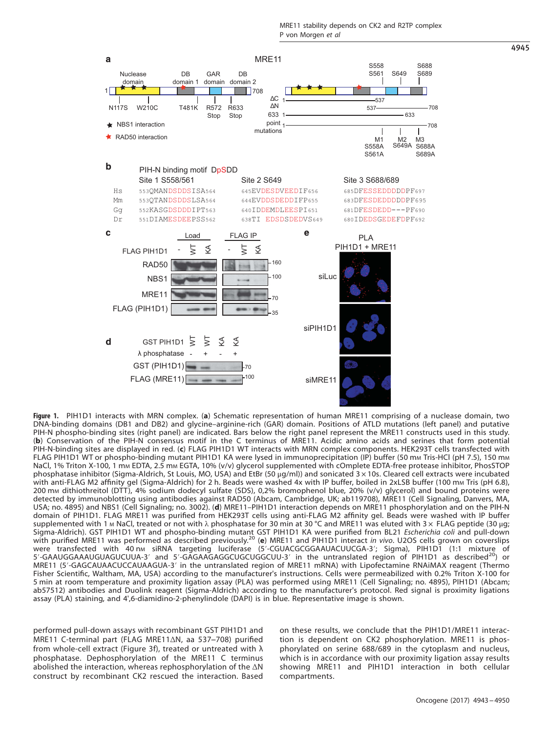<span id="page-3-0"></span>

Figure 1. PIH1D1 interacts with MRN complex. (a) Schematic representation of human MRE11 comprising of a nuclease domain, two DNA-binding domains (DB1 and DB2) and glycine–arginine-rich (GAR) domain. Positions of ATLD mutations (left panel) and putative PIH-N phospho-binding sites (right panel) are indicated. Bars below the right panel represent the MRE11 constructs used in this study. (b) Conservation of the PIH-N consensus motif in the C terminus of MRE11. Acidic amino acids and serines that form potential PIH-N-binding sites are displayed in red. (c) FLAG PIH1D1 WT interacts with MRN complex components. HEK293T cells transfected with FLAG PIH1D1 WT or phospho-binding mutant PIH1D1 KA were lysed in immunoprecipitation (IP) buffer (50 mm Tris-HCl (pH 7.5), 150 mm NaCl, 1% Triton X-100, 1 mm EDTA, 2.5 mm EGTA, 10% (v/v) glycerol supplemented with cOmplete EDTA-free protease inhibitor, PhosSTOP phosphatase inhibitor (Sigma-Aldrich, St Louis, MO, USA) and EtBr (50 μg/ml)) and sonicated 3 × 10s. Cleared cell extracts were incubated with anti-FLAG M2 affinity gel (Sigma-Aldrich) for 2 h. Beads were washed 4x with IP buffer, boiled in 2xLSB buffer (100 mm Tris (pH 6.8), 200 mM dithiothreitol (DTT), 4% sodium dodecyl sulfate (SDS), 0,2% bromophenol blue, 20% (v/v) glycerol) and bound proteins were detected by immunoblotting using antibodies against RAD50 (Abcam, Cambridge, UK; ab119708), MRE11 (Cell Signaling, Danvers, MA, USA; no. 4895) and NBS1 (Cell Signaling; no. 3002). (d) MRE11–PIH1D1 interaction depends on MRE11 phosphorylation and on the PIH-N domain of PIH1D1. FLAG MRE11 was purified from HEK293T cells using anti-FLAG M2 affinity gel. Beads were washed with IP buffer supplemented with 1 M NaCl, treated or not with λ phosphatase for 30 min at 30 °C and MRE11 was eluted with 3 × FLAG peptide (30 μg; Sigma-Aldrich). GST PIH1D1 WT and phospho-binding mutant GST PIH1D1 KA were purified from BL21 Escherichia coli and pull-down with purified MRE11 was performed as described previously.<sup>[20](#page-8-0)</sup> (e) MRE11 and PIH1D1 interact in vivo. U2OS cells grown on coverslips were transfected with 40 nm siRNA targeting luciferase (5'-CGUACGCGGAAUACUUCGA-3'; Sigma), PIH1D1 (1:1 mixture of 5'-GAAUGGAAAUGUAGUCUUA-3' and 5'-GAGAAGAGGCUGCUGGCUU-3' in the untranslated region of PIH1D1 as described<sup>20</sup>) or MRE11 (5′-GAGCAUAACUCCAUAAGUA-3′ in the untranslated region of MRE11 mRNA) with Lipofectamine RNAiMAX reagent (Thermo Fisher Scientific, Waltham, MA, USA) according to the manufacturer's instructions. Cells were permeabilized with 0.2% Triton X-100 for 5 min at room temperature and proximity ligation assay (PLA) was performed using MRE11 (Cell Signaling; no. 4895), PIH1D1 (Abcam; ab57512) antibodies and Duolink reagent (Sigma-Aldrich) according to the manufacturer's protocol. Red signal is proximity ligations assay (PLA) staining, and 4',6-diamidino-2-phenylindole (DAPI) is in blue. Representative image is shown.

performed pull-down assays with recombinant GST PIH1D1 and MRE11 C-terminal part (FLAG MRE11ΔN, aa 537–708) purified from whole-cell extract ([Figure 3f](#page-5-0)), treated or untreated with λ phosphatase. Dephosphorylation of the MRE11 C terminus abolished the interaction, whereas rephosphorylation of the ΔN construct by recombinant CK2 rescued the interaction. Based on these results, we conclude that the PIH1D1/MRE11 interaction is dependent on CK2 phosphorylation. MRE11 is phosphorylated on serine 688/689 in the cytoplasm and nucleus, which is in accordance with our proximity ligation assay results showing MRE11 and PIH1D1 interaction in both cellular compartments.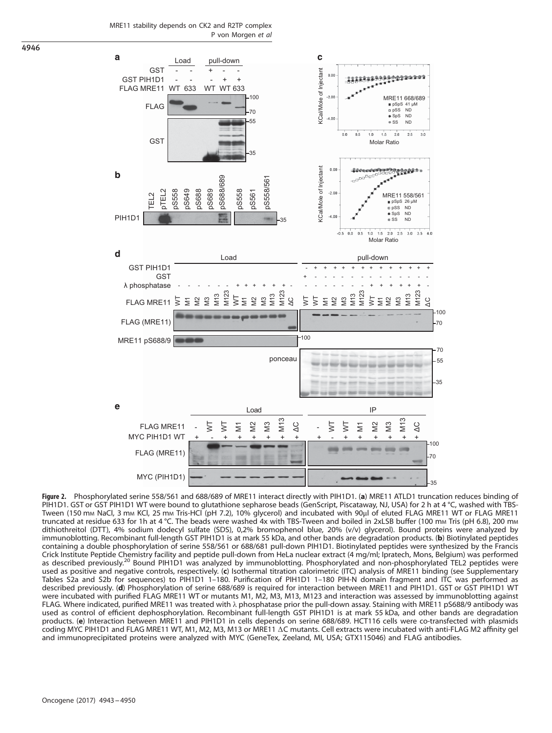MRE11 stability depends on CK2 and R2TP complex P von Morgen et al



Figure 2. Phosphorylated serine 558/561 and 688/689 of MRE11 interact directly with PIH1D1. (a) MRE11 ATLD1 truncation reduces binding of PIH1D1. GST or GST PIH1D1 WT were bound to glutathione sepharose beads (GenScript, Piscataway, NJ, USA) for 2 h at 4 °C, washed with TBS-Tween (150 mm NaCl, 3 mm KCl, 25 mm Tris-HCl (pH 7.2), 10% glycerol) and incubated with 90ul of eluted FLAG MRE11 WT or FLAG MRE11 truncated at residue 633 for 1h at 4 °C. The beads were washed 4x with TBS-Tween and boiled in 2xLSB buffer (100 mM Tris (pH 6.8), 200 mM dithiothreitol (DTT), 4% sodium dodecyl sulfate (SDS), 0,2% bromophenol blue, 20% (v/v) glycerol). Bound proteins were analyzed by immunoblotting. Recombinant full-length GST PIH1D1 is at mark 55 kDa, and other bands are degradation products. (b) Biotinylated peptides containing a double phosphorylation of serine 558/561 or 688/681 pull-down PIH1D1. Biotinylated peptides were synthesized by the Francis Crick Institute Peptide Chemistry facility and peptide pull-down from HeLa nuclear extract (4 mg/ml; Ipratech, Mons, Belgium) was performed as described previously.<sup>[20](#page-8-0)</sup> Bound PIH1D1 was analyzed by immunoblotting. Phosphorylated and non-phosphorylated TEL2 peptides were used as positive and negative controls, respectively. (c) Isothermal titration calorimetric (ITC) analysis of MRE11 binding (see Supplementary Tables S2a and S2b for sequences) to PIH1D1 1–180. Purification of PIH1D1 1–180 PIH-N domain fragment and ITC was performed as described previously. (d) Phosphorylation of serine 688/689 is required for interaction between MRE11 and PIH1D1. GST or GST PIH1D1 WT were incubated with purified FLAG MRE11 WT or mutants M1, M2, M3, M13, M123 and interaction was assessed by immunoblotting against FLAG. Where indicated, purified MRE11 was treated with λ phosphatase prior the pull-down assay. Staining with MRE11 pS688/9 antibody was used as control of efficient dephosphorylation. Recombinant full-length GST PIH1D1 is at mark 55 kDa, and other bands are degradation products. (e) Interaction between MRE11 and PIH1D1 in cells depends on serine 688/689. HCT116 cells were co-transfected with plasmids coding MYC PIH1D1 and FLAG MRE11 WT, M1, M2, M3, M13 or MRE11 ΔC mutants. Cell extracts were incubated with anti-FLAG M2 affinity gel and immunoprecipitated proteins were analyzed with MYC (GeneTex, Zeeland, MI, USA; GTX115046) and FLAG antibodies.

<span id="page-4-0"></span>4946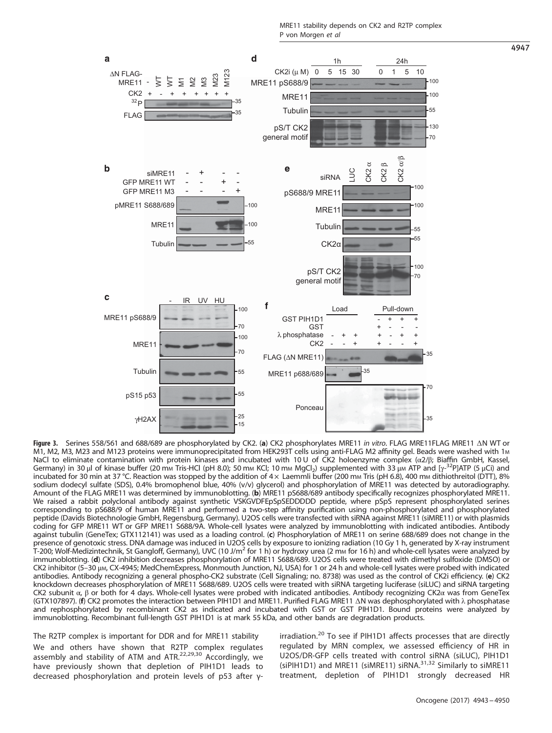MRE11 stability depends on CK2 and R2TP complex P von Morgen et al





Figure 3. Serines 558/561 and 688/689 are phosphorylated by CK2. (a) CK2 phosphorylates MRE11 in vitro. FLAG MRE11FLAG MRE11 ΔN WT or M1, M2, M3, M23 and M123 proteins were immunoprecipitated from HEK293T cells using anti-FLAG M2 affinity gel. Beads were washed with 1M NaCl to eliminate contamination with protein kinases and incubated with 10 U of CK2 holoenzyme complex (α2/β; Biaffin GmbH, Kassel, Germany) in 30 μl of kinase buffer (20 mm Tris-HCl (pH 8.0); 50 mm KCl; 10 mm MgCl<sub>2</sub>) supplemented with 33 μm ATP and [γ-<sup>32</sup>P]ATP (5 μCi) and incubated for 30 min at 37 °C. Reaction was stopped by the addition of  $4 \times$  Laemmli buffer (200 mm Tris (pH 6.8), 400 mm dithiothreitol (DTT), 8% sodium dodecyl sulfate (SDS), 0.4% bromophenol blue, 40% (v/v) glycerol) and phosphorylation of MRE11 was detected by autoradiography. Amount of the FLAG MRE11 was determined by immunoblotting. (b) MRE11 pS688/689 antibody specifically recognizes phosphorylated MRE11. We raised a rabbit polyclonal antibody against synthetic VSKGVDFEpSpSEDDDDD peptide, where pSpS represent phosphorylated serines corresponding to pS688/9 of human MRE11 and performed a two-step affinity purification using non-phosphorylated and phosphorylated peptide (Davids Biotechnologie GmbH, Regensburg, Germany). U2OS cells were transfected with siRNA against MRE11 (siMRE11) or with plasmids coding for GFP MRE11 WT or GFP MRE11 S688/9A. Whole-cell lysates were analyzed by immunoblotting with indicated antibodies. Antibody against tubulin (GeneTex; GTX112141) was used as a loading control. (c) Phosphorylation of MRE11 on serine 688/689 does not change in the presence of genotoxic stress. DNA damage was induced in U2OS cells by exposure to ionizing radiation (10 Gy 1 h, generated by X-ray instrument T-200; Wolf-Medizintechnik, St Gangloff, Germany), UVC (10 J/m<sup>2</sup> for 1 h) or hydroxy urea (2 mm for 16 h) and whole-cell lysates were analyzed by immunoblotting. (d) CK2 inhibition decreases phosphorylation of MRE11 S688/689. U2OS cells were treated with dimethyl sulfoxide (DMSO) or CK2 inhibitor (5-30 μm, CX-4945; MedChemExpress, Monmouth Junction, NJ, USA) for 1 or 24 h and whole-cell lysates were probed with indicated antibodies. Antibody recognizing a general phospho-CK2 substrate (Cell Signaling; no. 8738) was used as the control of CK2i efficiency. (e) CK2 knockdown decreases phosphorylation of MRE11 S688/689. U2OS cells were treated with siRNA targeting luciferase (siLUC) and siRNA targeting CK2 subunit α, β or both for 4 days. Whole-cell lysates were probed with indicated antibodies. Antibody recognizing CK2α was from GeneTex (GTX107897). (f) CK2 promotes the interaction between PIH1D1 and MRE11. Purified FLAG MRE11 ΔN was dephosphorylated with λ phosphatase and rephosphorylated by recombinant CK2 as indicated and incubated with GST or GST PIH1D1. Bound proteins were analyzed by immunoblotting. Recombinant full-length GST PIH1D1 is at mark 55 kDa, and other bands are degradation products.

The R2TP complex is important for DDR and for MRE11 stability We and others have shown that R2TP complex regulates assembly and stability of ATM and ATR.<sup>[22](#page-8-0),[29,30](#page-8-0)</sup> Accordingly, we have previously shown that depletion of PIH1D1 leads to decreased phosphorylation and protein levels of p53 after γ-

FLAG

ΔN FLAG-MRE11

<span id="page-5-0"></span>a

 $32<sub>F</sub>$ 

WT

-

irradiation.<sup>[20](#page-8-0)</sup> To see if PIH1D1 affects processes that are directly regulated by MRN complex, we assessed efficiency of HR in U2OS/DR-GFP cells treated with control siRNA (siLUC), PIH1D1 (siPIH1D1) and MRE11 (siMRE11) siRNA.<sup>[31](#page-8-0),[32](#page-8-0)</sup> Similarly to siMRE11 treatment, depletion of PIH1D1 strongly decreased HR

4947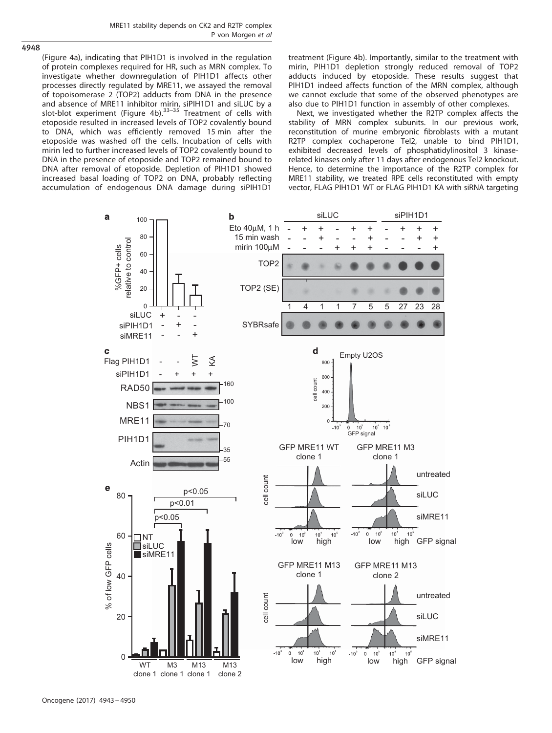

([Figure 4a](#page-7-0)), indicating that PIH1D1 is involved in the regulation of protein complexes required for HR, such as MRN complex. To investigate whether downregulation of PIH1D1 affects other processes directly regulated by MRE11, we assayed the removal of topoisomerase 2 (TOP2) adducts from DNA in the presence and absence of MRE11 inhibitor mirin, siPIH1D1 and siLUC by a<br>slot-blot experiment ([Figure 4b\)](#page-7-0).<sup>[33](#page-8-0)–35</sup> Treatment of cells with etoposide resulted in increased levels of TOP2 covalently bound to DNA, which was efficiently removed 15 min after the etoposide was washed off the cells. Incubation of cells with mirin led to further increased levels of TOP2 covalently bound to DNA in the presence of etoposide and TOP2 remained bound to DNA after removal of etoposide. Depletion of PIH1D1 showed increased basal loading of TOP2 on DNA, probably reflecting accumulation of endogenous DNA damage during siPIH1D1 treatment ([Figure 4b](#page-7-0)). Importantly, similar to the treatment with mirin, PIH1D1 depletion strongly reduced removal of TOP2 adducts induced by etoposide. These results suggest that PIH1D1 indeed affects function of the MRN complex, although we cannot exclude that some of the observed phenotypes are also due to PIH1D1 function in assembly of other complexes.

Next, we investigated whether the R2TP complex affects the stability of MRN complex subunits. In our previous work, reconstitution of murine embryonic fibroblasts with a mutant R2TP complex cochaperone Tel2, unable to bind PIH1D1, exhibited decreased levels of phosphatidylinositol 3 kinaserelated kinases only after 11 days after endogenous Tel2 knockout. Hence, to determine the importance of the R2TP complex for MRE11 stability, we treated RPE cells reconstituted with empty vector, FLAG PIH1D1 WT or FLAG PIH1D1 KA with siRNA targeting

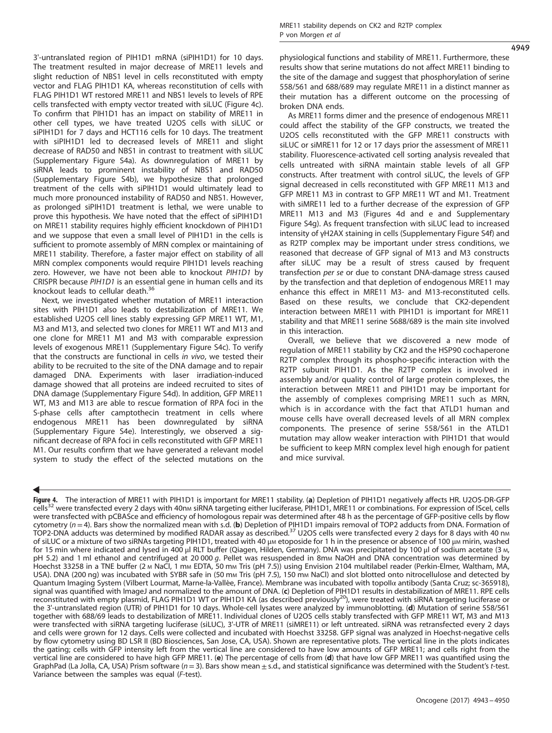<span id="page-7-0"></span>3'-untranslated region of PIH1D1 mRNA (siPIH1D1) for 10 days. The treatment resulted in major decrease of MRE11 levels and slight reduction of NBS1 level in cells reconstituted with empty vector and FLAG PIH1D1 KA, whereas reconstitution of cells with FLAG PIH1D1 WT restored MRE11 and NBS1 levels to levels of RPE cells transfected with empty vector treated with siLUC (Figure 4c). To confirm that PIH1D1 has an impact on stability of MRE11 in other cell types, we have treated U2OS cells with siLUC or siPIH1D1 for 7 days and HCT116 cells for 10 days. The treatment with siPIH1D1 led to decreased levels of MRE11 and slight decrease of RAD50 and NBS1 in contrast to treatment with siLUC (Supplementary Figure S4a). As downregulation of MRE11 by siRNA leads to prominent instability of NBS1 and RAD50 (Supplementary Figure S4b), we hypothesize that prolonged treatment of the cells with siPIH1D1 would ultimately lead to much more pronounced instability of RAD50 and NBS1. However, as prolonged siPIH1D1 treatment is lethal, we were unable to prove this hypothesis. We have noted that the effect of siPIH1D1 on MRE11 stability requires highly efficient knockdown of PIH1D1 and we suppose that even a small level of PIH1D1 in the cells is sufficient to promote assembly of MRN complex or maintaining of MRE11 stability. Therefore, a faster major effect on stability of all MRN complex components would require PIH1D1 levels reaching zero. However, we have not been able to knockout PIH1D1 by CRISPR because PIH1D1 is an essential gene in human cells and its knockout leads to cellular death.<sup>[36](#page-8-0)</sup>

Next, we investigated whether mutation of MRE11 interaction sites with PIH1D1 also leads to destabilization of MRE11. We established U2OS cell lines stably expressing GFP MRE11 WT, M1, M3 and M13, and selected two clones for MRE11 WT and M13 and one clone for MRE11 M1 and M3 with comparable expression levels of exogenous MRE11 (Supplementary Figure S4c). To verify that the constructs are functional in cells in vivo, we tested their ability to be recruited to the site of the DNA damage and to repair damaged DNA. Experiments with laser irradiation-induced damage showed that all proteins are indeed recruited to sites of DNA damage (Supplementary Figure S4d). In addition, GFP MRE11 WT, M3 and M13 are able to rescue formation of RPA foci in the S-phase cells after camptothecin treatment in cells where endogenous MRE11 has been downregulated by siRNA (Supplementary Figure S4e). Interestingly, we observed a significant decrease of RPA foci in cells reconstituted with GFP MRE11 M1. Our results confirm that we have generated a relevant model system to study the effect of the selected mutations on the physiological functions and stability of MRE11. Furthermore, these results show that serine mutations do not affect MRE11 binding to the site of the damage and suggest that phosphorylation of serine 558/561 and 688/689 may regulate MRE11 in a distinct manner as their mutation has a different outcome on the processing of broken DNA ends.

As MRE11 forms dimer and the presence of endogenous MRE11 could affect the stability of the GFP constructs, we treated the U2OS cells reconstituted with the GFP MRE11 constructs with siLUC or siMRE11 for 12 or 17 days prior the assessment of MRE11 stability. Fluorescence-activated cell sorting analysis revealed that cells untreated with siRNA maintain stable levels of all GFP constructs. After treatment with control siLUC, the levels of GFP signal decreased in cells reconstituted with GFP MRE11 M13 and GFP MRE11 M3 in contrast to GFP MRE11 WT and M1. Treatment with siMRE11 led to a further decrease of the expression of GFP MRE11 M13 and M3 (Figures 4d and e and Supplementary Figure S4g). As frequent transfection with siLUC lead to increased intensity of γH2AX staining in cells (Supplementary Figure S4f) and as R2TP complex may be important under stress conditions, we reasoned that decrease of GFP signal of M13 and M3 constructs after siLUC may be a result of stress caused by frequent transfection per se or due to constant DNA-damage stress caused by the transfection and that depletion of endogenous MRE11 may enhance this effect in MRE11 M3- and M13-reconstituted cells. Based on these results, we conclude that CK2-dependent interaction between MRE11 with PIH1D1 is important for MRE11 stability and that MRE11 serine S688/689 is the main site involved in this interaction.

Overall, we believe that we discovered a new mode of regulation of MRE11 stability by CK2 and the HSP90 cochaperone R2TP complex through its phospho-specific interaction with the R2TP subunit PIH1D1. As the R2TP complex is involved in assembly and/or quality control of large protein complexes, the interaction between MRE11 and PIH1D1 may be important for the assembly of complexes comprising MRE11 such as MRN, which is in accordance with the fact that ATLD1 human and mouse cells have overall decreased levels of all MRN complex components. The presence of serine 558/561 in the ATLD1 mutation may allow weaker interaction with PIH1D1 that would be sufficient to keep MRN complex level high enough for patient and mice survival.

4949

Figur[e 4](#page-8-0). The interaction of MRE11 with PIH1D1 is important for MRE11 stability. (a) Depletion of PIH1D1 negatively affects HR. U2OS-DR-GFP cells<sup>32</sup> were transfected every 2 days with 40nm siRNA targeting either luciferase, PIH1D1, MRE11 or combinations. For expression of IScel, cells were transfected with pCBASce and efficiency of homologous repair was determined after 48 h as the percentage of GFP-positive cells by flow cytometry  $(n=4)$ . Bars show the normalized mean with s.d. (b) Depletion of PIH1D1 impairs removal of TOP2 adducts from DNA. Formation of TOP2-DNA adducts was determined by modified RADAR assay as described.<sup>[37](#page-8-0)</sup> U2OS cells were transfected every 2 days for 8 days with 40 nm of siLUC or a mixture of two siRNAs targeting PIH1D1, treated with 40 μM etoposide for 1 h in the presence or absence of 100 μM mirin, washed for 15 min where indicated and lysed in 400 μl RLT buffer (Qiagen, Hilden, Germany). DNA was precipitated by 100 μl of sodium acetate (3 M, pH 5.2) and 1 ml ethanol and centrifuged at 20 000 g. Pellet was resuspended in 8mm NaOH and DNA concentration was determined by Hoechst 33258 in a TNE buffer (2 M NaCl, 1 mM EDTA, 50 mM Tris (pH 7.5)) using Envision 2104 multilabel reader (Perkin-Elmer, Waltham, MA, USA). DNA (200 ng) was incubated with SYBR safe in (50 mm Tris (pH 7.5), 150 mm NaCl) and slot blotted onto nitrocellulose and detected by Quantum Imaging System (Vilbert Lourmat, Marne-la-Vallée, France). Membrane was incubated with topoIIα antibody (Santa Cruz; sc-365918), signal was quantified with ImageJ and normalized to the amount of DNA. (c) Depletion of PIH1D1 results in destabilization of MRE11. RPE cells reconstituted with empty plasmid, FLAG PIH1D1 WT or PIH1D1 KA (as described previously<sup>[20](#page-8-0)</sup>), were treated with siRNA targeting luciferase or the 3'-untranslated region (UTR) of PIH1D1 for 10 days. Whole-cell lysates were analyzed by immunoblotting. (d) Mutation of serine 558/561 together with 688/69 leads to destabilization of MRE11. Individual clones of U2OS cells stably transfected with GFP MRE11 WT, M3 and M13 were transfected with siRNA targeting luciferase (siLUC), 3'-UTR of MRE11 (siMRE11) or left untreated. siRNA was retransfected every 2 days and cells were grown for 12 days. Cells were collected and incubated with Hoechst 33258. GFP signal was analyzed in Hoechst-negative cells by flow cytometry using BD LSR II (BD Biosciences, San Jose, CA, USA). Shown are representative plots. The vertical line in the plots indicates the gating; cells with GFP intensity left from the vertical line are considered to have low amounts of GFP MRE11; and cells right from the vertical line are considered to have high GFP MRE11. (e) The percentage of cells from (d) that have low GFP MRE11 was quantified using the GraphPad (La Jolla, CA, USA) Prism software ( $n=3$ ). Bars show mean  $\pm$  s.d., and statistical significance was determined with the Student's t-test. Variance between the samples was equal (F-test).